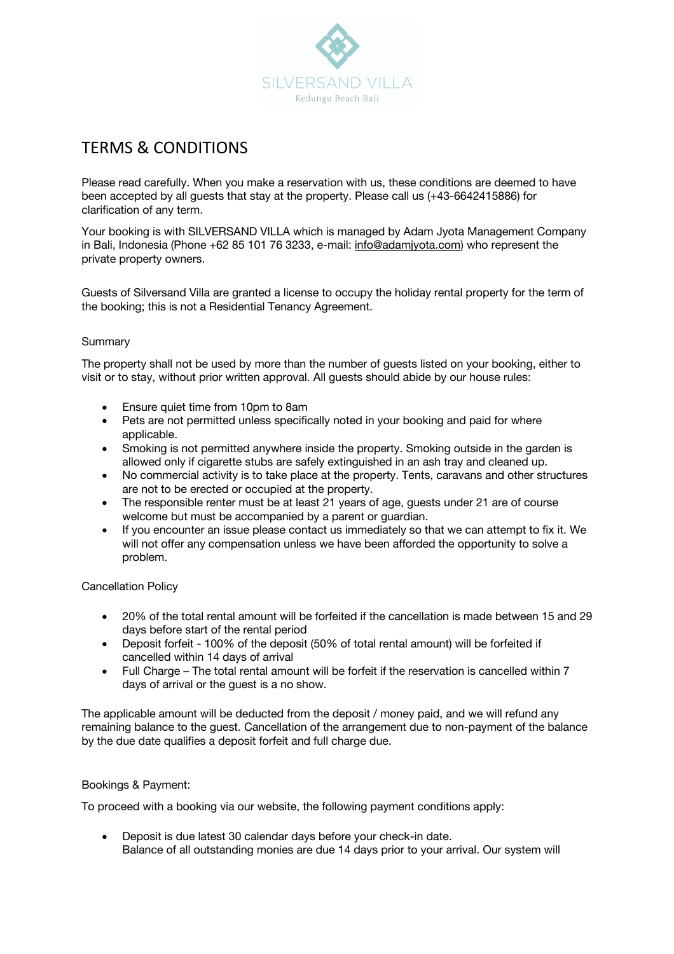

# TERMS & CONDITIONS

Please read carefully. When you make a reservation with us, these conditions are deemed to have been accepted by all guests that stay at the property. Please call us (+43-6642415886) for clarification of any term.

Your booking is with SILVERSAND VILLA which is managed by Adam Jyota Management Company in Bali, Indonesia (Phone +62 85 101 76 3233, e-mail: info@adamjyota.com) who represent the private property owners.

Guests of Silversand Villa are granted a license to occupy the holiday rental property for the term of the booking; this is not a Residential Tenancy Agreement.

## **Summary**

The property shall not be used by more than the number of guests listed on your booking, either to visit or to stay, without prior written approval. All guests should abide by our house rules:

- Ensure quiet time from 10pm to 8am
- Pets are not permitted unless specifically noted in your booking and paid for where applicable.
- Smoking is not permitted anywhere inside the property. Smoking outside in the garden is allowed only if cigarette stubs are safely extinguished in an ash tray and cleaned up.
- No commercial activity is to take place at the property. Tents, caravans and other structures are not to be erected or occupied at the property.
- The responsible renter must be at least 21 years of age, guests under 21 are of course welcome but must be accompanied by a parent or guardian.
- If you encounter an issue please contact us immediately so that we can attempt to fix it. We will not offer any compensation unless we have been afforded the opportunity to solve a problem.

## Cancellation Policy

- 20% of the total rental amount will be forfeited if the cancellation is made between 15 and 29 days before start of the rental period
- Deposit forfeit 100% of the deposit (50% of total rental amount) will be forfeited if cancelled within 14 days of arrival
- Full Charge The total rental amount will be forfeit if the reservation is cancelled within 7 days of arrival or the guest is a no show.

The applicable amount will be deducted from the deposit / money paid, and we will refund any remaining balance to the guest. Cancellation of the arrangement due to non-payment of the balance by the due date qualifies a deposit forfeit and full charge due.

## Bookings & Payment:

To proceed with a booking via our website, the following payment conditions apply:

• Deposit is due latest 30 calendar days before your check-in date. Balance of all outstanding monies are due 14 days prior to your arrival. Our system will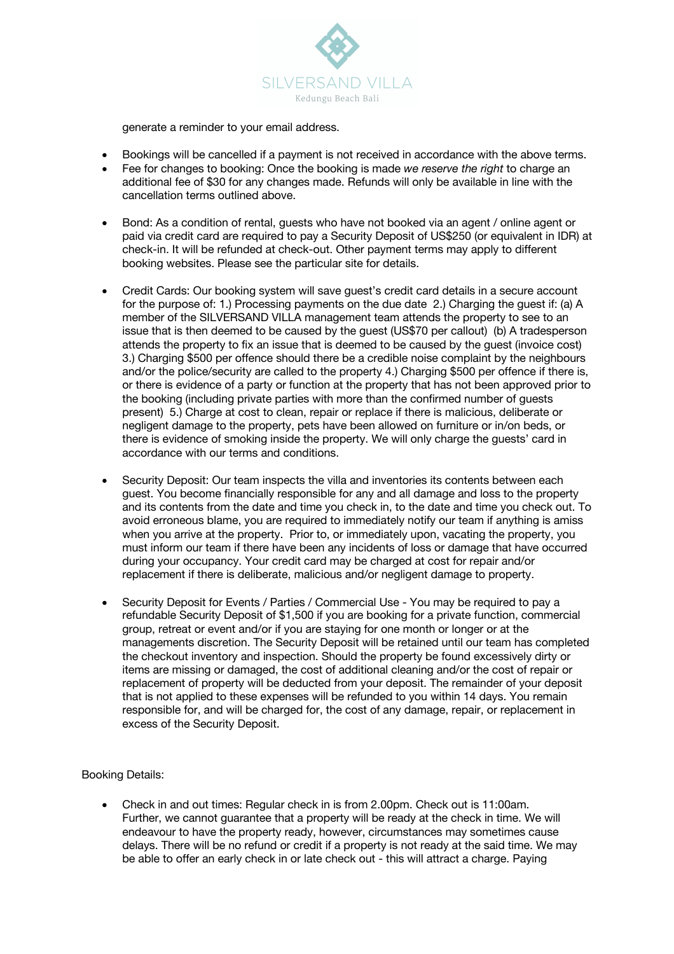

generate a reminder to your email address.

- Bookings will be cancelled if a payment is not received in accordance with the above terms.
- Fee for changes to booking: Once the booking is made *we reserve the right* to charge an additional fee of \$30 for any changes made. Refunds will only be available in line with the cancellation terms outlined above.
- Bond: As a condition of rental, guests who have not booked via an agent / online agent or paid via credit card are required to pay a Security Deposit of US\$250 (or equivalent in IDR) at check-in. It will be refunded at check-out. Other payment terms may apply to different booking websites. Please see the particular site for details.
- Credit Cards: Our booking system will save guest's credit card details in a secure account for the purpose of: 1.) Processing payments on the due date 2.) Charging the guest if: (a) A member of the SILVERSAND VILLA management team attends the property to see to an issue that is then deemed to be caused by the guest (US\$70 per callout) (b) A tradesperson attends the property to fix an issue that is deemed to be caused by the guest (invoice cost) 3.) Charging \$500 per offence should there be a credible noise complaint by the neighbours and/or the police/security are called to the property 4.) Charging \$500 per offence if there is, or there is evidence of a party or function at the property that has not been approved prior to the booking (including private parties with more than the confirmed number of guests present) 5.) Charge at cost to clean, repair or replace if there is malicious, deliberate or negligent damage to the property, pets have been allowed on furniture or in/on beds, or there is evidence of smoking inside the property. We will only charge the guests' card in accordance with our terms and conditions.
- Security Deposit: Our team inspects the villa and inventories its contents between each guest. You become financially responsible for any and all damage and loss to the property and its contents from the date and time you check in, to the date and time you check out. To avoid erroneous blame, you are required to immediately notify our team if anything is amiss when you arrive at the property. Prior to, or immediately upon, vacating the property, you must inform our team if there have been any incidents of loss or damage that have occurred during your occupancy. Your credit card may be charged at cost for repair and/or replacement if there is deliberate, malicious and/or negligent damage to property.
- Security Deposit for Events / Parties / Commercial Use You may be required to pay a refundable Security Deposit of \$1,500 if you are booking for a private function, commercial group, retreat or event and/or if you are staying for one month or longer or at the managements discretion. The Security Deposit will be retained until our team has completed the checkout inventory and inspection. Should the property be found excessively dirty or items are missing or damaged, the cost of additional cleaning and/or the cost of repair or replacement of property will be deducted from your deposit. The remainder of your deposit that is not applied to these expenses will be refunded to you within 14 days. You remain responsible for, and will be charged for, the cost of any damage, repair, or replacement in excess of the Security Deposit.

## Booking Details:

• Check in and out times: Regular check in is from 2.00pm. Check out is 11:00am. Further, we cannot guarantee that a property will be ready at the check in time. We will endeavour to have the property ready, however, circumstances may sometimes cause delays. There will be no refund or credit if a property is not ready at the said time. We may be able to offer an early check in or late check out - this will attract a charge. Paying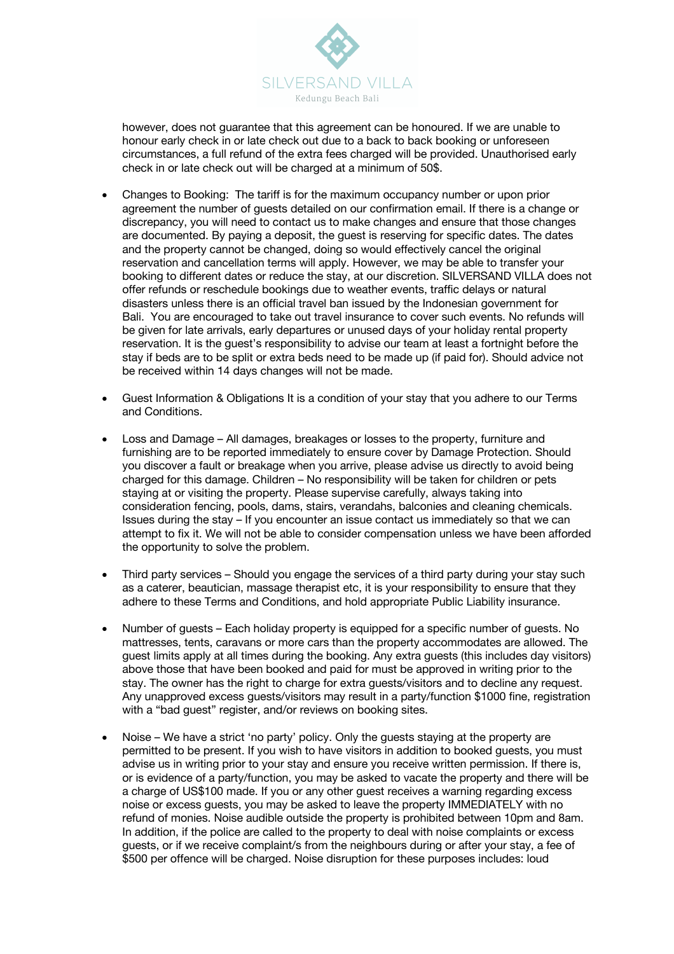

however, does not guarantee that this agreement can be honoured. If we are unable to honour early check in or late check out due to a back to back booking or unforeseen circumstances, a full refund of the extra fees charged will be provided. Unauthorised early check in or late check out will be charged at a minimum of 50\$.

- Changes to Booking: The tariff is for the maximum occupancy number or upon prior agreement the number of guests detailed on our confirmation email. If there is a change or discrepancy, you will need to contact us to make changes and ensure that those changes are documented. By paying a deposit, the guest is reserving for specific dates. The dates and the property cannot be changed, doing so would effectively cancel the original reservation and cancellation terms will apply. However, we may be able to transfer your booking to different dates or reduce the stay, at our discretion. SILVERSAND VILLA does not offer refunds or reschedule bookings due to weather events, traffic delays or natural disasters unless there is an official travel ban issued by the Indonesian government for Bali. You are encouraged to take out travel insurance to cover such events. No refunds will be given for late arrivals, early departures or unused days of your holiday rental property reservation. It is the guest's responsibility to advise our team at least a fortnight before the stay if beds are to be split or extra beds need to be made up (if paid for). Should advice not be received within 14 days changes will not be made.
- Guest Information & Obligations It is a condition of your stay that you adhere to our Terms and Conditions.
- Loss and Damage All damages, breakages or losses to the property, furniture and furnishing are to be reported immediately to ensure cover by Damage Protection. Should you discover a fault or breakage when you arrive, please advise us directly to avoid being charged for this damage. Children – No responsibility will be taken for children or pets staying at or visiting the property. Please supervise carefully, always taking into consideration fencing, pools, dams, stairs, verandahs, balconies and cleaning chemicals. Issues during the stay – If you encounter an issue contact us immediately so that we can attempt to fix it. We will not be able to consider compensation unless we have been afforded the opportunity to solve the problem.
- Third party services Should you engage the services of a third party during your stay such as a caterer, beautician, massage therapist etc, it is your responsibility to ensure that they adhere to these Terms and Conditions, and hold appropriate Public Liability insurance.
- Number of guests Each holiday property is equipped for a specific number of guests. No mattresses, tents, caravans or more cars than the property accommodates are allowed. The guest limits apply at all times during the booking. Any extra guests (this includes day visitors) above those that have been booked and paid for must be approved in writing prior to the stay. The owner has the right to charge for extra guests/visitors and to decline any request. Any unapproved excess guests/visitors may result in a party/function \$1000 fine, registration with a "bad guest" register, and/or reviews on booking sites.
- Noise We have a strict 'no party' policy. Only the quests staying at the property are permitted to be present. If you wish to have visitors in addition to booked guests, you must advise us in writing prior to your stay and ensure you receive written permission. If there is, or is evidence of a party/function, you may be asked to vacate the property and there will be a charge of US\$100 made. If you or any other guest receives a warning regarding excess noise or excess guests, you may be asked to leave the property IMMEDIATELY with no refund of monies. Noise audible outside the property is prohibited between 10pm and 8am. In addition, if the police are called to the property to deal with noise complaints or excess guests, or if we receive complaint/s from the neighbours during or after your stay, a fee of \$500 per offence will be charged. Noise disruption for these purposes includes: loud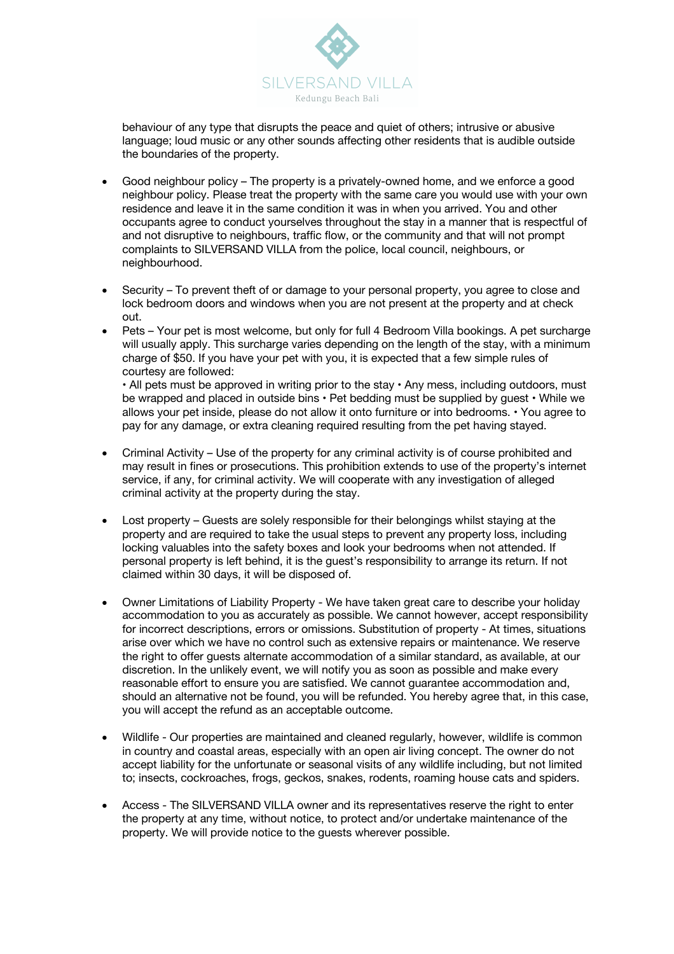

behaviour of any type that disrupts the peace and quiet of others; intrusive or abusive language; loud music or any other sounds affecting other residents that is audible outside the boundaries of the property.

- Good neighbour policy The property is a privately-owned home, and we enforce a good neighbour policy. Please treat the property with the same care you would use with your own residence and leave it in the same condition it was in when you arrived. You and other occupants agree to conduct yourselves throughout the stay in a manner that is respectful of and not disruptive to neighbours, traffic flow, or the community and that will not prompt complaints to SILVERSAND VILLA from the police, local council, neighbours, or neighbourhood.
- Security To prevent theft of or damage to your personal property, you agree to close and lock bedroom doors and windows when you are not present at the property and at check out.
- Pets Your pet is most welcome, but only for full 4 Bedroom Villa bookings. A pet surcharge will usually apply. This surcharge varies depending on the length of the stay, with a minimum charge of \$50. If you have your pet with you, it is expected that a few simple rules of courtesy are followed:

• All pets must be approved in writing prior to the stay • Any mess, including outdoors, must be wrapped and placed in outside bins • Pet bedding must be supplied by guest • While we allows your pet inside, please do not allow it onto furniture or into bedrooms. • You agree to pay for any damage, or extra cleaning required resulting from the pet having stayed.

- Criminal Activity Use of the property for any criminal activity is of course prohibited and may result in fines or prosecutions. This prohibition extends to use of the property's internet service, if any, for criminal activity. We will cooperate with any investigation of alleged criminal activity at the property during the stay.
- Lost property Guests are solely responsible for their belongings whilst staying at the property and are required to take the usual steps to prevent any property loss, including locking valuables into the safety boxes and look your bedrooms when not attended. If personal property is left behind, it is the guest's responsibility to arrange its return. If not claimed within 30 days, it will be disposed of.
- Owner Limitations of Liability Property We have taken great care to describe your holiday accommodation to you as accurately as possible. We cannot however, accept responsibility for incorrect descriptions, errors or omissions. Substitution of property - At times, situations arise over which we have no control such as extensive repairs or maintenance. We reserve the right to offer guests alternate accommodation of a similar standard, as available, at our discretion. In the unlikely event, we will notify you as soon as possible and make every reasonable effort to ensure you are satisfied. We cannot guarantee accommodation and, should an alternative not be found, you will be refunded. You hereby agree that, in this case, you will accept the refund as an acceptable outcome.
- Wildlife Our properties are maintained and cleaned regularly, however, wildlife is common in country and coastal areas, especially with an open air living concept. The owner do not accept liability for the unfortunate or seasonal visits of any wildlife including, but not limited to; insects, cockroaches, frogs, geckos, snakes, rodents, roaming house cats and spiders.
- Access The SILVERSAND VILLA owner and its representatives reserve the right to enter the property at any time, without notice, to protect and/or undertake maintenance of the property. We will provide notice to the guests wherever possible.